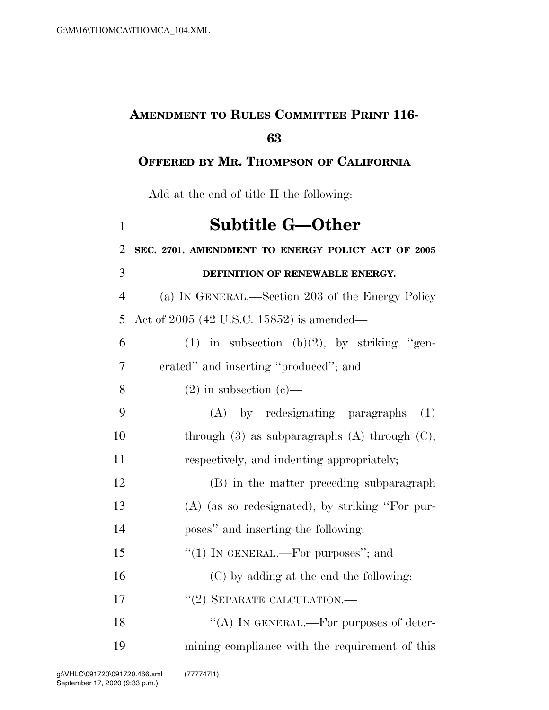## **AMENDMENT TO RULES COMMITTEE PRINT 116-**

## **OFFERED BY MR. THOMPSON OF CALIFORNIA**

Add at the end of title II the following:

| $\mathbf{1}$   | <b>Subtitle G—Other</b>                              |
|----------------|------------------------------------------------------|
| $\overline{2}$ | SEC. 2701. AMENDMENT TO ENERGY POLICY ACT OF 2005    |
| 3              | DEFINITION OF RENEWABLE ENERGY.                      |
| $\overline{4}$ | (a) IN GENERAL.—Section 203 of the Energy Policy     |
| 5              | Act of 2005 (42 U.S.C. 15852) is amended—            |
| 6              | (1) in subsection (b)(2), by striking "gen-          |
| 7              | erated" and inserting "produced"; and                |
| 8              | $(2)$ in subsection $(e)$ —                          |
| 9              | (A) by redesignating paragraphs<br>(1)               |
| 10             | through $(3)$ as subparagraphs $(A)$ through $(C)$ , |
| 11             | respectively, and indenting appropriately;           |
| 12             | (B) in the matter preceding subparagraph             |
| 13             | $(A)$ (as so redesignated), by striking "For pur-    |
| 14             | poses" and inserting the following:                  |
| 15             | "(1) IN GENERAL.—For purposes"; and                  |
| 16             | (C) by adding at the end the following:              |
| 17             | $``(2)$ SEPARATE CALCULATION.—                       |
| 18             | "(A) IN GENERAL.—For purposes of deter-              |
| 19             | mining compliance with the requirement of this       |